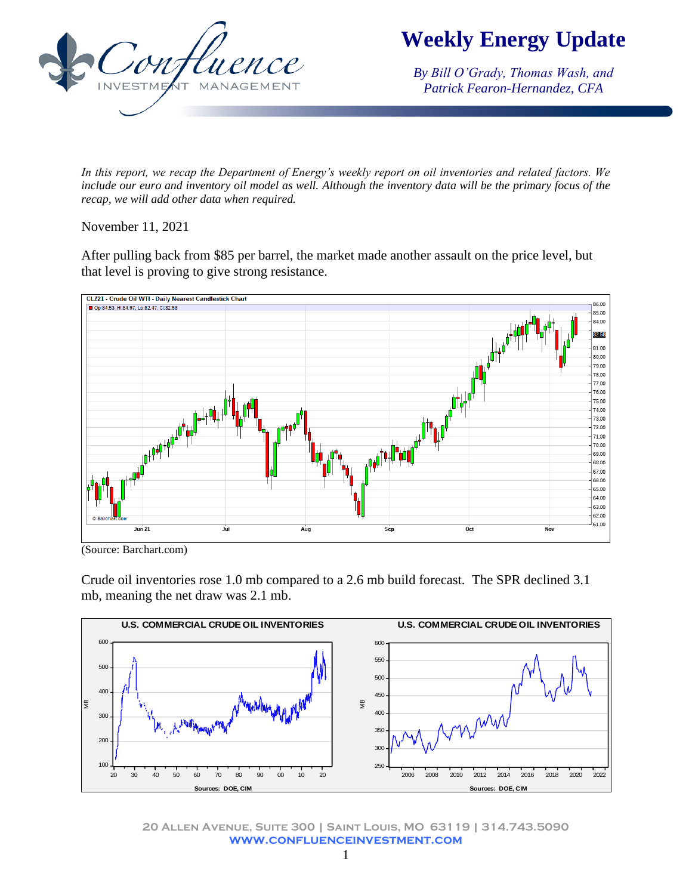

*By Bill O'Grady, Thomas Wash, and Patrick Fearon-Hernandez, CFA*

*In this report, we recap the Department of Energy's weekly report on oil inventories and related factors. We include our euro and inventory oil model as well. Although the inventory data will be the primary focus of the recap, we will add other data when required.* 

November 11, 2021

After pulling back from \$85 per barrel, the market made another assault on the price level, but that level is proving to give strong resistance.



(Source: Barchart.com)

Crude oil inventories rose 1.0 mb compared to a 2.6 mb build forecast. The SPR declined 3.1 mb, meaning the net draw was 2.1 mb.



**20 Allen Avenue, Suite 300 | Saint Louis, MO 63119 | 314.743.5090 www.confluenceinvestment.com**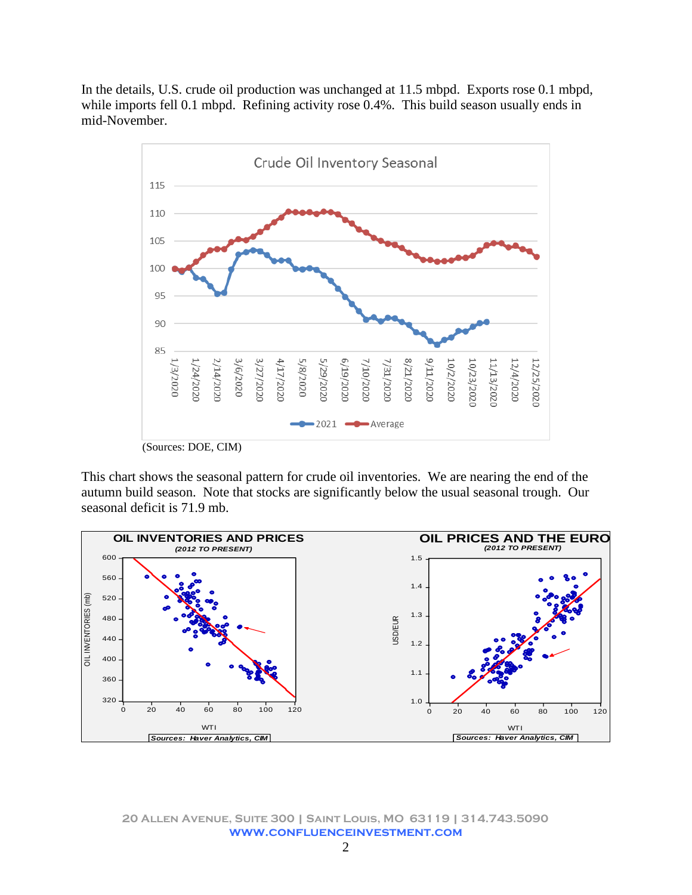In the details, U.S. crude oil production was unchanged at 11.5 mbpd. Exports rose 0.1 mbpd, while imports fell 0.1 mbpd. Refining activity rose 0.4%. This build season usually ends in mid-November.



This chart shows the seasonal pattern for crude oil inventories. We are nearing the end of the autumn build season. Note that stocks are significantly below the usual seasonal trough. Our seasonal deficit is 71.9 mb.



**20 Allen Avenue, Suite 300 | Saint Louis, MO 63119 | 314.743.5090 www.confluenceinvestment.com**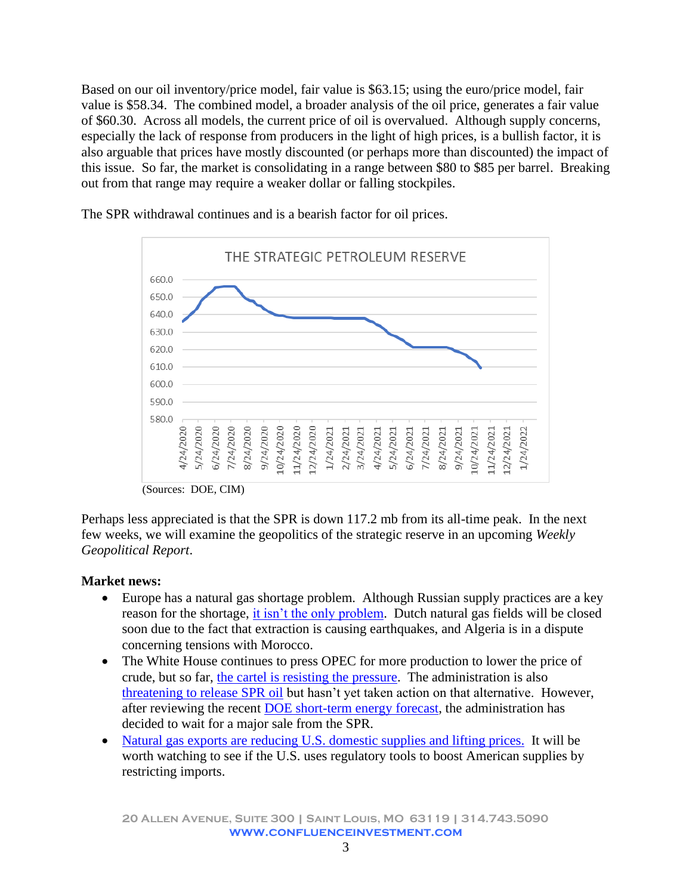Based on our oil inventory/price model, fair value is \$63.15; using the euro/price model, fair value is \$58.34. The combined model, a broader analysis of the oil price, generates a fair value of \$60.30. Across all models, the current price of oil is overvalued. Although supply concerns, especially the lack of response from producers in the light of high prices, is a bullish factor, it is also arguable that prices have mostly discounted (or perhaps more than discounted) the impact of this issue. So far, the market is consolidating in a range between \$80 to \$85 per barrel. Breaking out from that range may require a weaker dollar or falling stockpiles.



The SPR withdrawal continues and is a bearish factor for oil prices.

(Sources: DOE, CIM)

Perhaps less appreciated is that the SPR is down 117.2 mb from its all-time peak. In the next few weeks, we will examine the geopolitics of the strategic reserve in an upcoming *Weekly Geopolitical Report*.

## **Market news:**

- Europe has a natural gas shortage problem. Although Russian supply practices are a key reason for the shortage, [it isn't the only problem.](https://ig.ft.com/europes-gas-crisis-pipelines-explainer/) Dutch natural gas fields will be closed soon due to the fact that extraction is causing earthquakes, and Algeria is in a dispute concerning tensions with Morocco.
- The White House continues to press OPEC for more production to lower the price of crude, but so far, [the cartel is resisting the pressure.](https://www.ft.com/content/4a2fc7b2-c963-4418-9997-d1bf203c3a35?emailId=6184afa2f87a8f0004e17d98&segmentId=22011ee7-896a-8c4c-22a0-7603348b7f22) The administration is also [threatening to release SPR oil](https://thehill.com/policy/energy-environment/580480-granholm-says-biden-looking-at-tapping-strategic-reserve-as-fuel?rl=1) but hasn't yet taken action on that alternative. However, after reviewing the recent [DOE short-term energy forecast,](https://www.eia.gov/outlooks/steo/pdf/steo_full.pdf) the administration has decided to wait for a major sale from the SPR.
- Natural gas exports are [reducing U.S. domestic supplies and lifting prices.](https://www.wsj.com/articles/natural-gas-exports-lift-prices-for-u-s-utilities-ahead-of-winter-11636281000?st=e3lp0fvh9cnuk6y&reflink=desktopwebshare_permalink) It will be worth watching to see if the U.S. uses regulatory tools to boost American supplies by restricting imports.

**20 Allen Avenue, Suite 300 | Saint Louis, MO 63119 | 314.743.5090 www.confluenceinvestment.com**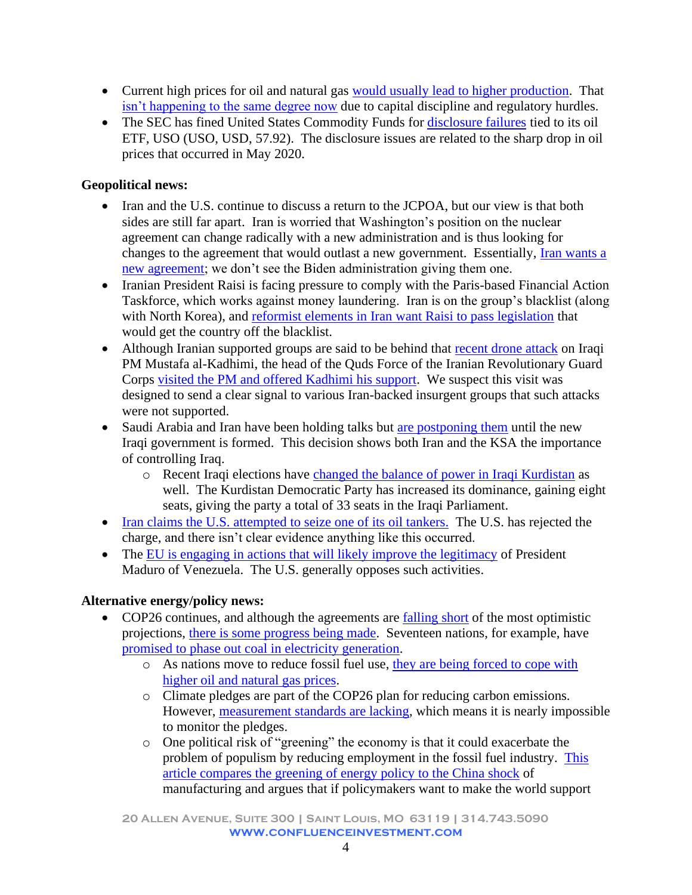- Current high prices for oil and natural gas [would usually lead to higher production.](https://rbnenergy.com/up-and-around-the-bend-midstream-conundrum-threatens-gas-production-growth-long-term) That [isn't happening to the same degree now](https://rbnenergy.com/up-and-around-the-bend-part-2-midstream-conundrum-threatens-gas-production-growth-long-term) due to capital discipline and regulatory hurdles.
- The SEC has fined United States Commodity Funds for [disclosure failures](https://www.sec.gov/news/press-release/2021-229) tied to its oil ETF, USO (USO, USD, 57.92). The disclosure issues are related to the sharp drop in oil prices that occurred in May 2020.

## **Geopolitical news:**

- Iran and the U.S. continue to discuss a return to the JCPOA, but our view is that both sides are still far apart. Iran is worried that Washington's position on the nuclear agreement can change radically with a new administration and is thus looking for changes to the agreement that would outlast a new government. Essentially, [Iran wants a](https://www.foreignaffairs.com/articles/united-states/2021-11-02/iran-wont-back-down?utm_medium=newsletters&utm_source=twofa&utm_campaign=The%20Inevitable%20Rivalry&utm_content=20211105&utm_term=FA%20This%20Week%20-%20112017)  [new agreement;](https://www.foreignaffairs.com/articles/united-states/2021-11-02/iran-wont-back-down?utm_medium=newsletters&utm_source=twofa&utm_campaign=The%20Inevitable%20Rivalry&utm_content=20211105&utm_term=FA%20This%20Week%20-%20112017) we don't see the Biden administration giving them one.
- Iranian President Raisi is facing pressure to comply with the Paris-based Financial Action Taskforce, which works against money laundering. Iran is on the group's blacklist (along with North Korea), and [reformist elements in Iran want Raisi to pass legislation](https://amwaj.media/media-monitor/government-urged-to-remove-iran-from-global-terrorism-financing-blacklist) that would get the country off the blacklist.
- Although Iranian supported groups are said to be behind that [recent drone attack](https://www.wsj.com/articles/iraqs-prime-minister-survives-assassination-attempt-government-says-11636248485?st=jw49smiizld0kbh&reflink=desktopwebshare_permalink) on Iraqi PM Mustafa al-Kadhimi, the head of the Quds Force of the Iranian Revolutionary Guard Corps visited [the PM and offered Kadhimi his support.](https://amwaj.media/article/inside-story-iraq-s-pm-connects-with-quds-force-cmdr-hezbollah-rep) We suspect this visit was designed to send a clear signal to various Iran-backed insurgent groups that such attacks were not supported.
- Saudi Arabia and Iran have been holding talks but [are postponing them](https://amwaj.media/article/iran-saudi-talks-in-iraq) until the new Iraqi government is formed. This decision shows both Iran and the KSA the importance of controlling Iraq.
	- o Recent Iraqi elections have [changed the balance of power in Iraqi Kurdistan](https://amwaj.media/article/will-the-new-generation-s-rise-in-iraqi-kurdistan-give-a-real-chance-to-the-oppos) as well. The Kurdistan Democratic Party has increased its dominance, gaining eight seats, giving the party a total of 33 seats in the Iraqi Parliament.
- [Iran claims the U.S. attempted to seize one of its oil tankers.](https://amwaj.media/media-monitor/what-happened-between-iran-and-us-naval-forces-in-gulf-of-oman-on-oct-30) The U.S. has rejected the charge, and there isn't clear evidence anything like this occurred.
- The [EU is engaging in actions that will likely improve the legitimacy](https://www.ft.com/content/642fb7ef-01ed-438d-9a19-316423acc935?utm_campaign=wp_todays_worldview&utm_medium=email&utm_source=newsletter&wpisrc=nl_todayworld) of President Maduro of Venezuela. The U.S. generally opposes such activities.

## **Alternative energy/policy news:**

- COP26 continues, and although the agreements are [falling short](https://climateactiontracker.org/documents/997/CAT_2021-11-09_Briefing_Global-Update_Glasgow2030CredibilityGap.pdf?utm_source=newsletter&utm_medium=email&utm_campaign=newsletter_axiosgenerate&stream=top) of the most optimistic projections, [there is some progress being made.](https://www.axios.com/cop26-draft-agreement-targets-fossil-fuels-257643c5-218e-43d8-92d0-296eb26de99c.html?utm_source=newsletter&utm_medium=email&utm_campaign=newsletter_axiosgenerate&stream=top) Seventeen nations, for example, have [promised to phase out coal in electricity generation.](https://www.nytimes.com/2021/11/03/world/uk-fossil-fuel-coal-cop26.html?smid=url-share)
	- o As nations move to reduce fossil fuel use, [they are being forced to](https://www.ft.com/content/37947e4a-71a1-4c0e-919b-1e3d55ee19ea?emailId=6182fb7e6546ce0004c7fc07&segmentId=7e94968a-a618-c46d-4d8b-6e2655e68320) cope with [higher oil and natural gas prices.](https://www.ft.com/content/37947e4a-71a1-4c0e-919b-1e3d55ee19ea?emailId=6182fb7e6546ce0004c7fc07&segmentId=7e94968a-a618-c46d-4d8b-6e2655e68320)
	- o Climate pledges are part of the COP26 plan for reducing carbon emissions. However, [measurement standards are lacking,](https://www.washingtonpost.com/climate-environment/interactive/2021/greenhouse-gas-emissions-pledges-data/?itid=hp-top-table-main) which means it is nearly impossible to monitor the pledges.
	- o One political risk of "greening" the economy is that it could exacerbate the problem of populism by reducing employment in the fossil fuel industry. [This](https://www.foreignaffairs.com/articles/united-states/2021-11-08/china-shocks-lessons-green-economy)  [article compares the greening of energy policy to the China shock](https://www.foreignaffairs.com/articles/united-states/2021-11-08/china-shocks-lessons-green-economy) of manufacturing and argues that if policymakers want to make the world support